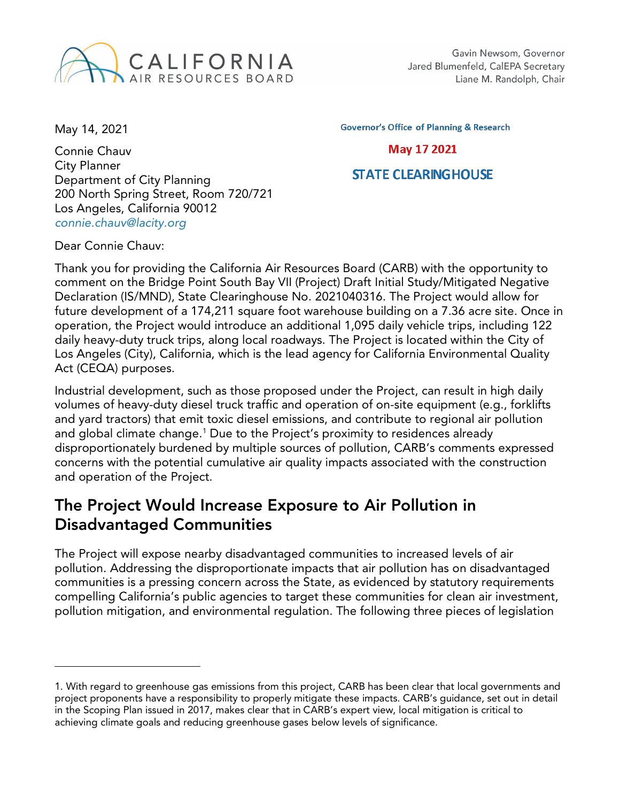

May 14, 2021

Connie Chauv City Planner Department of City Planning 200 North Spring Street, Room 720/721 Los Angeles, California 90012 *[connie.chauv@lacity.org](mailto:Connie.chauv@lacity.org)*

**Governor's Office of Planning & Research** 

May 17 2021

#### **STATE CLEARING HOUSE**

Dear Connie Chauv:

 $\overline{a}$ 

Thank you for providing the California Air Resources Board (CARB) with the opportunity to comment on the Bridge Point South Bay VII (Project) Draft Initial Study/Mitigated Negative Declaration (IS/MND), State Clearinghouse No. 2021040316. The Project would allow for future development of a 174,211 square foot warehouse building on a 7.36 acre site. Once in operation, the Project would introduce an additional 1,095 daily vehicle trips, including 122 daily heavy-duty truck trips, along local roadways. The Project is located within the City of Los Angeles (City), California, which is the lead agency for California Environmental Quality Act (CEQA) purposes.

Industrial development, such as those proposed under the Project, can result in high daily volumes of heavy-duty diesel truck traffic and operation of on-site equipment (e.g., forklifts and yard tractors) that emit toxic diesel emissions, and contribute to regional air pollution and global climate change.<sup>[1](#page-0-0)</sup> Due to the Project's proximity to residences already disproportionately burdened by multiple sources of pollution, CARB's comments expressed concerns with the potential cumulative air quality impacts associated with the construction and operation of the Project.

## The Project Would Increase Exposure to Air Pollution in Disadvantaged Communities

The Project will expose nearby disadvantaged communities to increased levels of air pollution. Addressing the disproportionate impacts that air pollution has on disadvantaged communities is a pressing concern across the State, as evidenced by statutory requirements compelling California's public agencies to target these communities for clean air investment, pollution mitigation, and environmental regulation. The following three pieces of legislation

<span id="page-0-0"></span><sup>1.</sup> With regard to greenhouse gas emissions from this project, CARB has been clear that local governments and project proponents have a responsibility to properly mitigate these impacts. CARB's guidance, set out in detail in the Scoping Plan issued in 2017, makes clear that in CARB's expert view, local mitigation is critical to achieving climate goals and reducing greenhouse gases below levels of significance.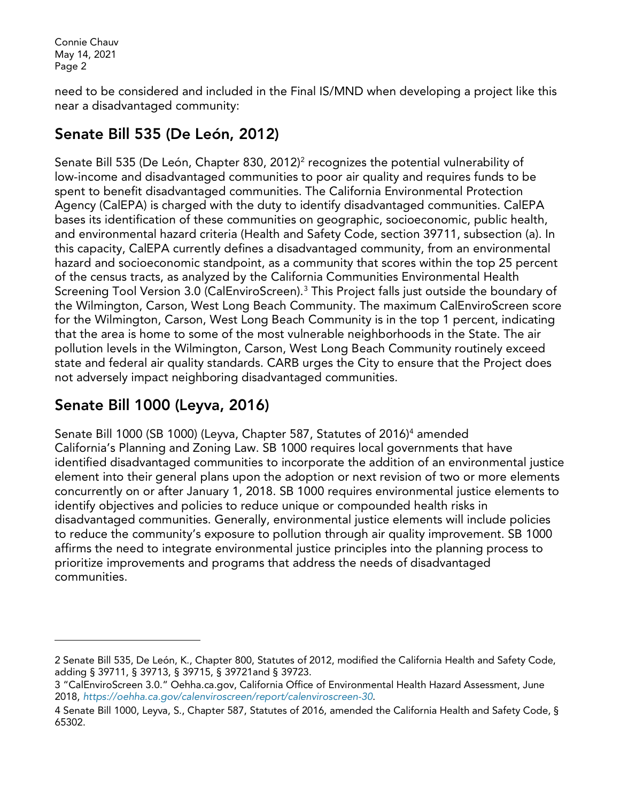Connie Chauv May 14, 2021 Page 2

 $\overline{a}$ 

need to be considered and included in the Final IS/MND when developing a project like this near a disadvantaged community:

# Senate Bill 535 (De León, 2012)

Senate Bill 535 (De León, Chapter 830, [2](#page-1-0)012)<sup>2</sup> recognizes the potential vulnerability of low-income and disadvantaged communities to poor air quality and requires funds to be spent to benefit disadvantaged communities. The California Environmental Protection Agency (CalEPA) is charged with the duty to identify disadvantaged communities. CalEPA bases its identification of these communities on geographic, socioeconomic, public health, and environmental hazard criteria (Health and Safety Code, section 39711, subsection (a). In this capacity, CalEPA currently defines a disadvantaged community, from an environmental hazard and socioeconomic standpoint, as a community that scores within the top 25 percent of the census tracts, as analyzed by the California Communities Environmental Health Screening Tool Version [3](#page-1-1).0 (CalEnviroScreen).<sup>3</sup> This Project falls just outside the boundary of the Wilmington, Carson, West Long Beach Community. The maximum CalEnviroScreen score for the Wilmington, Carson, West Long Beach Community is in the top 1 percent, indicating that the area is home to some of the most vulnerable neighborhoods in the State. The air pollution levels in the Wilmington, Carson, West Long Beach Community routinely exceed state and federal air quality standards. CARB urges the City to ensure that the Project does not adversely impact neighboring disadvantaged communities.

# Senate Bill 1000 (Leyva, 2016)

Senate Bill 1000 (SB 1000) (Leyva, Chapter 587, Statutes of 2016)<sup>[4](#page-1-2)</sup> amended California's Planning and Zoning Law. SB 1000 requires local governments that have identified disadvantaged communities to incorporate the addition of an environmental justice element into their general plans upon the adoption or next revision of two or more elements concurrently on or after January 1, 2018. SB 1000 requires environmental justice elements to identify objectives and policies to reduce unique or compounded health risks in disadvantaged communities. Generally, environmental justice elements will include policies to reduce the community's exposure to pollution through air quality improvement. SB 1000 affirms the need to integrate environmental justice principles into the planning process to prioritize improvements and programs that address the needs of disadvantaged communities.

<span id="page-1-0"></span><sup>2</sup> Senate Bill 535, De León, K., Chapter 800, Statutes of 2012, modified the California Health and Safety Code, adding § 39711, § 39713, § 39715, § 39721and § 39723.

<span id="page-1-1"></span><sup>3</sup> "CalEnviroScreen 3.0." Oehha.ca.gov, California Office of Environmental Health Hazard Assessment, June 2018, *<https://oehha.ca.gov/calenviroscreen/report/calenviroscreen-30>*.

<span id="page-1-2"></span><sup>4</sup> Senate Bill 1000, Leyva, S., Chapter 587, Statutes of 2016, amended the California Health and Safety Code, § 65302.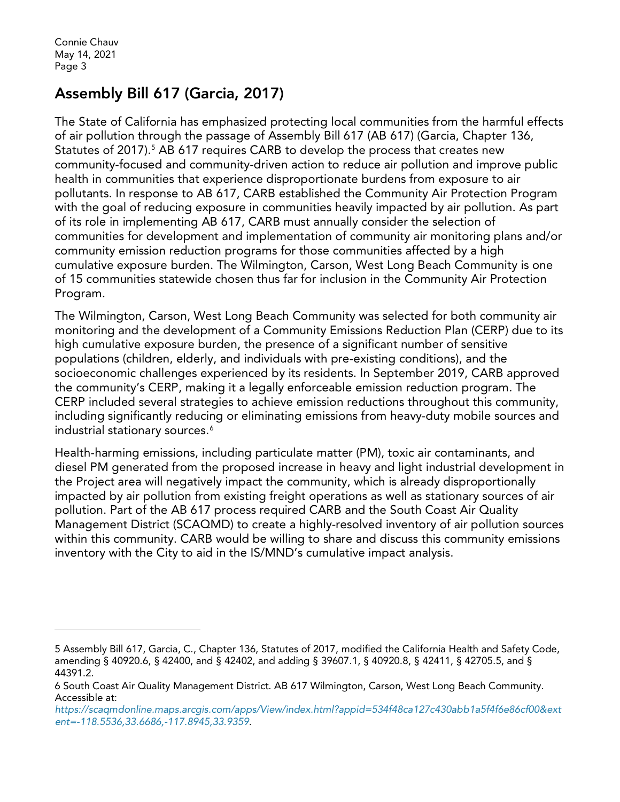$\overline{a}$ 

### Assembly Bill 617 (Garcia, 2017)

The State of California has emphasized protecting local communities from the harmful effects of air pollution through the passage of Assembly Bill 617 (AB 617) (Garcia, Chapter 136, Statutes of 2017).<sup>[5](#page-2-0)</sup> AB 617 requires CARB to develop the process that creates new community-focused and community-driven action to reduce air pollution and improve public health in communities that experience disproportionate burdens from exposure to air pollutants. In response to AB 617, CARB established the Community Air Protection Program with the goal of reducing exposure in communities heavily impacted by air pollution. As part of its role in implementing AB 617, CARB must annually consider the selection of communities for development and implementation of community air monitoring plans and/or community emission reduction programs for those communities affected by a high cumulative exposure burden. The Wilmington, Carson, West Long Beach Community is one of 15 communities statewide chosen thus far for inclusion in the Community Air Protection Program.

The Wilmington, Carson, West Long Beach Community was selected for both community air monitoring and the development of a Community Emissions Reduction Plan (CERP) due to its high cumulative exposure burden, the presence of a significant number of sensitive populations (children, elderly, and individuals with pre-existing conditions), and the socioeconomic challenges experienced by its residents. In September 2019, CARB approved the community's CERP, making it a legally enforceable emission reduction program. The CERP included several strategies to achieve emission reductions throughout this community, including significantly reducing or eliminating emissions from heavy-duty mobile sources and industrial stationary sources.<sup>[6](#page-2-1)</sup>

Health-harming emissions, including particulate matter (PM), toxic air contaminants, and diesel PM generated from the proposed increase in heavy and light industrial development in the Project area will negatively impact the community, which is already disproportionally impacted by air pollution from existing freight operations as well as stationary sources of air pollution. Part of the AB 617 process required CARB and the South Coast Air Quality Management District (SCAQMD) to create a highly-resolved inventory of air pollution sources within this community. CARB would be willing to share and discuss this community emissions inventory with the City to aid in the IS/MND's cumulative impact analysis.

<span id="page-2-0"></span><sup>5</sup> Assembly Bill 617, Garcia, C., Chapter 136, Statutes of 2017, modified the California Health and Safety Code, amending § 40920.6, § 42400, and § 42402, and adding § 39607.1, § 40920.8, § 42411, § 42705.5, and § 44391.2.

<span id="page-2-1"></span><sup>6</sup> South Coast Air Quality Management District. AB 617 Wilmington, Carson, West Long Beach Community. Accessible at:

*[https://scaqmdonline.maps.arcgis.com/apps/View/index.html?appid=534f48ca127c430abb1a5f4f6e86cf00&ext](https://scaqmdonline.maps.arcgis.com/apps/View/index.html?appid=534f48ca127c430abb1a5f4f6e86cf00&extent=-118.5536,33.6686,-117.8945,33.9359) [ent=-118.5536,33.6686,-117.8945,33.9359](https://scaqmdonline.maps.arcgis.com/apps/View/index.html?appid=534f48ca127c430abb1a5f4f6e86cf00&extent=-118.5536,33.6686,-117.8945,33.9359)*.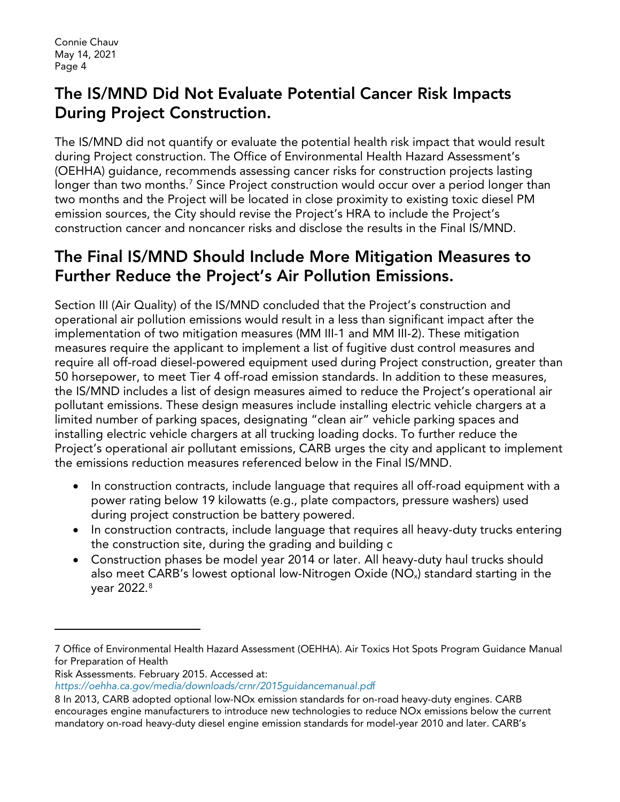# The IS/MND Did Not Evaluate Potential Cancer Risk Impacts During Project Construction.

The IS/MND did not quantify or evaluate the potential health risk impact that would result during Project construction. The Office of Environmental Health Hazard Assessment's (OEHHA) guidance, recommends assessing cancer risks for construction projects lasting longer than two months.<sup>[7](#page-3-0)</sup> Since Project construction would occur over a period longer than two months and the Project will be located in close proximity to existing toxic diesel PM emission sources, the City should revise the Project's HRA to include the Project's construction cancer and noncancer risks and disclose the results in the Final IS/MND.

# The Final IS/MND Should Include More Mitigation Measures to Further Reduce the Project's Air Pollution Emissions.

Section III (Air Quality) of the IS/MND concluded that the Project's construction and operational air pollution emissions would result in a less than significant impact after the implementation of two mitigation measures (MM III-1 and MM III-2). These mitigation measures require the applicant to implement a list of fugitive dust control measures and require all off-road diesel-powered equipment used during Project construction, greater than 50 horsepower, to meet Tier 4 off-road emission standards. In addition to these measures, the IS/MND includes a list of design measures aimed to reduce the Project's operational air pollutant emissions. These design measures include installing electric vehicle chargers at a limited number of parking spaces, designating "clean air" vehicle parking spaces and installing electric vehicle chargers at all trucking loading docks. To further reduce the Project's operational air pollutant emissions, CARB urges the city and applicant to implement the emissions reduction measures referenced below in the Final IS/MND.

- In construction contracts, include language that requires all off-road equipment with a power rating below 19 kilowatts (e.g., plate compactors, pressure washers) used during project construction be battery powered.
- In construction contracts, include language that requires all heavy-duty trucks entering the construction site, during the grading and building c
- Construction phases be model year 2014 or later. All heavy-duty haul trucks should also meet CARB's lowest optional low-Nitrogen Oxide  $(NO<sub>x</sub>)$  standard starting in the year 2022.<sup>[8](#page-3-1)</sup>

 $\overline{a}$ 

*[https://oehha.ca.gov/media/downloads/crnr/2015guidancemanual.pd](https://oehha.ca.gov/media/downloads/crnr/2015guidancemanual.pdf)*f

<span id="page-3-0"></span><sup>7</sup> Office of Environmental Health Hazard Assessment (OEHHA). Air Toxics Hot Spots Program Guidance Manual for Preparation of Health

Risk Assessments. February 2015. Accessed at:

<span id="page-3-1"></span><sup>8</sup> In 2013, CARB adopted optional low-NOx emission standards for on-road heavy-duty engines. CARB encourages engine manufacturers to introduce new technologies to reduce NOx emissions below the current mandatory on-road heavy-duty diesel engine emission standards for model-year 2010 and later. CARB's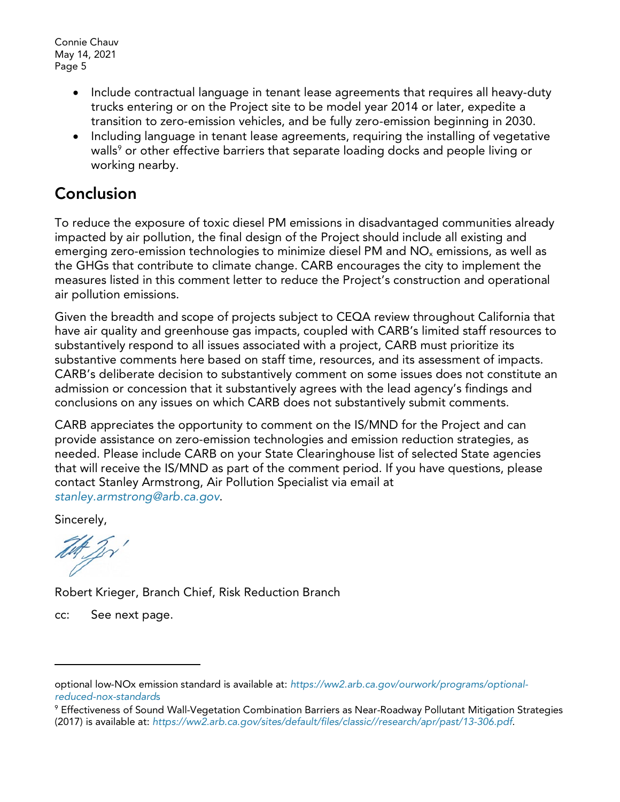Connie Chauv May 14, 2021 Page 5

- Include contractual language in tenant lease agreements that requires all heavy-duty trucks entering or on the Project site to be model year 2014 or later, expedite a transition to zero-emission vehicles, and be fully zero-emission beginning in 2030.
- Including language in tenant lease agreements, requiring the installing of vegetative walls<sup>[9](#page-4-0)</sup> or other effective barriers that separate loading docks and people living or working nearby.

# Conclusion

To reduce the exposure of toxic diesel PM emissions in disadvantaged communities already impacted by air pollution, the final design of the Project should include all existing and emerging zero-emission technologies to minimize diesel PM and  $NO<sub>x</sub>$  emissions, as well as the GHGs that contribute to climate change. CARB encourages the city to implement the measures listed in this comment letter to reduce the Project's construction and operational air pollution emissions.

Given the breadth and scope of projects subject to CEQA review throughout California that have air quality and greenhouse gas impacts, coupled with CARB's limited staff resources to substantively respond to all issues associated with a project, CARB must prioritize its substantive comments here based on staff time, resources, and its assessment of impacts. CARB's deliberate decision to substantively comment on some issues does not constitute an admission or concession that it substantively agrees with the lead agency's findings and conclusions on any issues on which CARB does not substantively submit comments.

CARB appreciates the opportunity to comment on the IS/MND for the Project and can provide assistance on zero-emission technologies and emission reduction strategies, as needed. Please include CARB on your State Clearinghouse list of selected State agencies that will receive the IS/MND as part of the comment period. If you have questions, please contact Stanley Armstrong, Air Pollution Specialist via email at *[stanley.armstrong@arb.ca.gov](mailto:stanley.armstrong@arb.ca.gov)*.

Sincerely,

 $\overline{a}$ 

Robert Krieger, Branch Chief, Risk Reduction Branch

cc: See next page.

optional low-NOx emission standard is available at: *[https://ww2.arb.ca.gov/ourwork/programs/optional](https://ww2.arb.ca.gov/ourwork/programs/optional-reduced-nox-standards)[reduced-nox-standard](https://ww2.arb.ca.gov/ourwork/programs/optional-reduced-nox-standards)*s

<span id="page-4-0"></span><sup>9</sup> Effectiveness of Sound Wall-Vegetation Combination Barriers as Near-Roadway Pollutant Mitigation Strategies (2017) is available at: *[https://ww2.arb.ca.gov/sites/default/files/classic//research/apr/past/13-306.pdf](https://ww2.arb.ca.gov/sites/default/files/classic/research/apr/past/13-306.pdf)*.